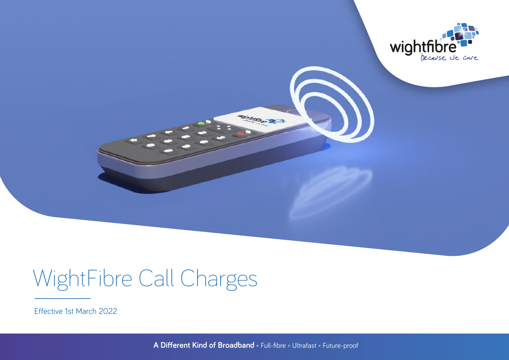

# WightFibre Call Charges

Effective 1st March 2022

**A Different Kind of Broadband •** Full-fibre **•** Ultrafast **•** Future-proof

**Michman, S. 3**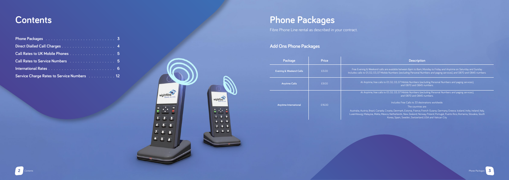# **Phone Packages**

Fibre Phone Line rental as described in your contract.

#### **Add Ons Phone Packages**

| Package                            | <b>Price</b> | <b>Description</b>                                                                                                                                                                                                                                                                                                                  |  |  |  |  |  |  |  |  |
|------------------------------------|--------------|-------------------------------------------------------------------------------------------------------------------------------------------------------------------------------------------------------------------------------------------------------------------------------------------------------------------------------------|--|--|--|--|--|--|--|--|
| <b>Evening &amp; Weekend Calls</b> | £5.00        | Free Evening & Weekend calls are available between 6pm to 8am, Monday to Friday and Anytime on Saturday and Sunday.<br>Includes calls to 01, 02, 03, 07 Mobile Numbers (excluding Personal Numbers and paging services), and 0870 and 0845 numbers.                                                                                 |  |  |  |  |  |  |  |  |
| <b>Anytime Calls</b>               | £9.00        | At Anytime, free calls to 01, 02, 03, 07 Mobile Numbers (excluding Personal Numbers and paging services),<br>and 0870 and 0845 numbers.                                                                                                                                                                                             |  |  |  |  |  |  |  |  |
|                                    |              | At Anytime, free calls to 01, 02, 03, 07 Mobile Numbers (excluding Personal Numbers and paging services),<br>and 0870 and 0845 numbers.                                                                                                                                                                                             |  |  |  |  |  |  |  |  |
|                                    |              | Includes Free Calls to 33 destinations worldwide.                                                                                                                                                                                                                                                                                   |  |  |  |  |  |  |  |  |
| <b>Anytime International</b>       | £16.00       | The countries are:                                                                                                                                                                                                                                                                                                                  |  |  |  |  |  |  |  |  |
|                                    |              | Australia, Austria, Brazil, Canada, Croatia, Denmark, Estonia, France, French Guiana, Germany, Greece, Iceland, India, Ireland, Italy,<br>Luxembourg, Malaysia, Malta, Mexico, Netherlands, New Zealand, Norway, Poland, Portugal, Puerto Rico, Romania, Slovakia, South<br>Korea, Spain, Sweden, Switzerland, USA and Vatican City |  |  |  |  |  |  |  |  |





#### **Contents**

| Call Rates to UK Mobile Phones 5           |  |  |  |  |  |
|--------------------------------------------|--|--|--|--|--|
| Call Rates to Service Numbers 5            |  |  |  |  |  |
|                                            |  |  |  |  |  |
| Service Charge Rates to Service Numbers 12 |  |  |  |  |  |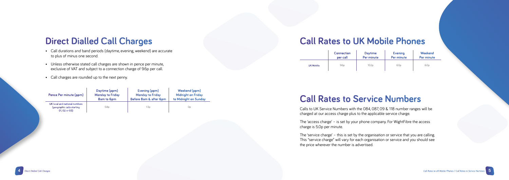# **Direct Dialled Call Charges**

- Call durations and band periods (daytime, evening, weekend) are accurate to plus of minus one second.
- Unless otherwise stated call charges are shown in pence per minute, exclusive of VAT and subject to a connection charge of 9.6p per call.
- Call charges are rounded up to the next penny.

#### **Call Rates to UK Mobile Phones**

### **Call Rates to Service Numbers**

Calls to UK Service Numbers with the 084, 087, 09 & 118 number ranges will be charged at our access charge plus to the applicable service charge.

The 'access charge' – is set by your phone company. For WightFibre the access charge is 5.0p per minute.

The 'service charge' – this is set by the organisation or service that you are calling. This "service charge" will vary for each organisation or service and you should see the price wherever the number is advertised.

| Pence Per minute (ppm)                                                       | Daytime (ppm)           | Evening (ppm)           | Weekend (ppm)             |
|------------------------------------------------------------------------------|-------------------------|-------------------------|---------------------------|
|                                                                              | <b>Monday to Friday</b> | <b>Monday to Friday</b> | <b>Midnight on Friday</b> |
|                                                                              | 8am to 6pm              | Before 8am & after 6pm  | to Midnight on Sunday     |
| UK local and national numbers<br>(geographic calls starting<br>01, 02 or 03) | 5.8 <sub>p</sub>        | 1.3p                    | 0p                        |

|                  | <b>Connection</b> | <b>Daytime</b>    | <b>Evening</b>   | Weekend          |
|------------------|-------------------|-------------------|------------------|------------------|
|                  | per call          | Per minute        | Per minute       | Per minute       |
| <b>UK Mobile</b> | 9.6 <sub>p</sub>  | 10.2 <sub>p</sub> | 6.0 <sub>p</sub> | 6.0 <sub>p</sub> |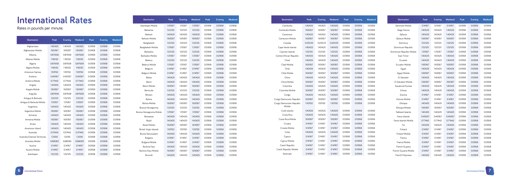| <b>Destination</b>        | Peak    | <b>Evening</b> | Weekend | Peak   | <b>Evening</b> | Weekend |
|---------------------------|---------|----------------|---------|--------|----------------|---------|
| Azerbaijan Mobile         | 1.31067 | 1.31067        | 1.31067 | 0.0958 | 0.0958         | 0.0958  |
| Bahamas                   | 1.02125 | 1.02125        | 1.02125 | 0.0958 | 0.0958         | 0.0958  |
| Bahrain                   | 1.40425 | 1.40425        | 1.40425 | 0.0958 | 0.0958         | 0.0958  |
| Bahrain Mobile            | 1.69367 | 1.69367        | 1.69367 | 0.0958 | 0.0958         | 0.0958  |
| Bangladesh                | 1.02125 | 1.02125        | 1.02125 | 0.0958 | 0.0958         | 0.0958  |
| Bangladesh Mobile         | 1.31067 | 1.31067        | 1.31067 | 0.0958 | 0.0958         | 0.0958  |
| <b>Barbados</b>           | 1.02125 | 1.02125        | 1.02125 | 0.0958 | 0.0958         | 0.0958  |
| <b>Barbados Mobile</b>    | 1.31067 | 1.31067        | 1.31067 | 0.0958 | 0.0958         | 0.0958  |
| Belarus                   | 1.02125 | 1.02125        | 1.02125 | 0.0958 | 0.0958         | 0.0958  |
| <b>Belarus Mobile</b>     | 1.31067 | 1.31067        | 1.31067 | 0.0958 | 0.0958         | 0.0958  |
| Belgium                   | 0.14167 | 0.14167        | 0.14167 | 0.0958 | 0.0958         | 0.0958  |
| Belgium Mobile            | 0.14167 | 0.14167        | 0.14167 | 0.0958 | 0.0958         | 0.0958  |
| <b>Belize</b>             | 1.40425 | 1.40425        | 1.40425 | 0.0958 | 0.0958         | 0.0958  |
| Benin                     | 1.40425 | 1.40425        | 1.40425 | 0.0958 | 0.0958         | 0.0958  |
| <b>Benin Mobile</b>       | 1.69367 | 1.69367        | 1.69367 | 0.0958 | 0.0958         | 0.0958  |
| Bermuda                   | 1.02125 | 1.02125        | 1.02125 | 0.0958 | 0.0958         | 0.0958  |
| Bhutan                    | 1.40425 | 1.40425        | 1.40425 | 0.0958 | 0.0958         | 0.0958  |
| Bolivia                   | 1.40425 | 1.40425        | 1.40425 | 0.0958 | 0.0958         | 0.0958  |
| <b>Bolivia Mobile</b>     | 1.69367 | 1.69367        | 1.69367 | 0.0958 | 0.0958         | 0.0958  |
| Bosnia Herzegovina        | 1.02125 | 1.02125        | 1.02125 | 0.0958 | 0.0958         | 0.0958  |
| Bosnia Herzegovina Mobile | 1.31067 | 1.31067        | 1.31067 | 0.0958 | 0.0958         | 0.0958  |
| Botswana                  | 1.40425 | 1.40425        | 1.40425 | 0.0958 | 0.0958         | 0.0958  |
| Brazil                    | 1.40425 | 1.40425        | 1.40425 | 0.0958 | 0.0958         | 0.0958  |
| <b>Brazil Mobile</b>      | 1.69367 | 1.69367        | 1.69367 | 0.0958 | 0.0958         | 0.0958  |
| British Virgin Islands    | 1.93192 | 1.93192        | 1.93192 | 0.0958 | 0.0958         | 0.0958  |
| Brunei Darussalam         | 1.40425 | 1.40425        | 1.40425 | 0.0958 | 0.0958         | 0.0958  |
| Bulgaria                  | 0.14167 | 0.14167        | 0.14167 | 0.0958 | 0.0958         | 0.0958  |
| <b>Bulgaria Mobile</b>    | 0.14167 | 0.14167        | 0.14167 | 0.0958 | 0.0958         | 0.0958  |
| Burkina Faso              | 1.40425 | 1.40425        | 1.40425 | 0.0958 | 0.0958         | 0.0958  |
| Burkina Faso Mobile       | 1.69367 | 1.69367        | 1.69367 | 0.0958 | 0.0958         | 0.0958  |
| Burundi                   | 1.40425 | 1.40425        | 1.40425 | 0.0958 | 0.0958         | 0.0958  |

| <b>Destination</b>        | Peak    | <b>Evening</b> | Weekend | Peak   | <b>Evening</b> | Weekend | <b>Destination</b>        | Peak    | Evening | Weekend | Peak   | <b>Evening</b> | Weekend |
|---------------------------|---------|----------------|---------|--------|----------------|---------|---------------------------|---------|---------|---------|--------|----------------|---------|
| Cambodia                  | 1.40425 | 1.40425        | 1.40425 | 0.0958 | 0.0958         | 0.0958  | Denmark Mobile            | 0.14167 | 0.14167 | 0.14167 | 0.0958 | 0.0958         | 0.0958  |
| Cambodia Mobile           | 1.69367 | 1.69367        | 1.69367 | 0.0958 | 0.0958         | 0.0958  | Diego Garcia              | 1.40425 | 1.40425 | 1.40425 | 0.0958 | 0.0958         | 0.0958  |
| Cameroon                  | 1.40425 | 1.40425        | 1.40425 | 0.0958 | 0.0958         | 0.0958  | Djibouti                  | 1.40425 | 1.40425 | 1.40425 | 0.0958 | 0.0958         | 0.0958  |
| Cameroon Mobile           | 1.69367 | 1.69367        | 1.69367 | 0.0958 | 0.0958         | 0.0958  | Djibouti Mobile           | 1.69367 | 1.69367 | 1.69367 | 0.0958 | 0.0958         | 0.0958  |
| Canada                    | 0.25533 | 0.25533        | 0.25533 | 0.0958 | 0.0958         | 0.0958  | Dominica                  | 1.02125 | 1.02125 | 1.02125 | 0.0958 | 0.0958         | 0.0958  |
| Cape Verde Islands        | 1.40425 | 1.40425        | 1.40425 | 0.0958 | 0.0958         | 0.0958  | Dominican Republic        | 1.02125 | 1.02125 | 1.02125 | 0.0958 | 0.0958         | 0.0958  |
| Cayman Islands            | 1.02125 | 1.02125        | 1.02125 | 0.0958 | 0.0958         | 0.0958  | Dominican Republic Mobile | 1.31067 | 1.31067 | 1.31067 | 0.0958 | 0.0958         | 0.0958  |
| Central African Republic  | 1.40425 | 1.40425        | 1.40425 | 0.0958 | 0.0958         | 0.0958  | East Timor                | 1.40425 | 1.40425 | 1.40425 | 0.0958 | 0.0958         | 0.0958  |
| Chad                      | 1.40425 | 1.40425        | 1.40425 | 0.0958 | 0.0958         | 0.0958  | Ecuador                   | 1.40425 | 1.40425 | 1.40425 | 0.0958 | 0.0958         | 0.0958  |
| Chad Mobile               | 1.69367 | 1.69367        | 1.69367 | 0.0958 | 0.0958         | 0.0958  | Ecuador Mobile            | 1.69367 | 1.69367 | 1.69367 | 0.0958 | 0.0958         | 0.0958  |
| Chile                     | 1.40425 | 1.40425        | 1.40425 | 0.0958 | 0.0958         | 0.0958  | Egypt                     | 1.40425 | 1.40425 | 1.40425 | 0.0958 | 0.0958         | 0.0958  |
| Chile Mobile              | 1.69367 | 1.69367        | 1.69367 | 0.0958 | 0.0958         | 0.0958  | Egypt Mobile              | 1.69367 | 1.69367 | 1.69367 | 0.0958 | 0.0958         | 0.0958  |
| China                     | 1.40425 | 1.40425        | 1.40425 | 0.0958 | 0.0958         | 0.0958  | El Salvador               | 1.40425 | 1.40425 | 1.40425 | 0.0958 | 0.0958         | 0.0958  |
| China Mobile              | 1.69367 | 1.69367        | 1.69367 | 0.0958 | 0.0958         | 0.0958  | El Salvador Mobile        | 1.69367 | 1.69367 | 1.69367 | 0.0958 | 0.0958         | 0.0958  |
| Colombia                  | 1.40425 | 1.40425        | 1.40425 | 0.0958 | 0.0958         | 0.0958  | Equatorial Guinea         | 1.40425 | 1.40425 | 1.40425 | 0.0958 | 0.0958         | 0.0958  |
| Colombia Mobile           | 1.69367 | 1.69367        | 1.69367 | 0.0958 | 0.0958         | 0.0958  | Eritrea                   | 1.40425 | 1.40425 | 1.40425 | 0.0958 | 0.0958         | 0.0958  |
| Congo                     | 1.40425 | 1.40425        | 1.40425 | 0.0958 | 0.0958         | 0.0958  | Estonia                   | 0.14167 | 0.14167 | 0.14167 | 0.0958 | 0.0958         | 0.0958  |
| Congo Democratic Republic | 1.69367 | 1.69367        | 1.69367 | 0.0958 | 0.0958         | 0.0958  | Estonia Mobile            | 0.14167 | 0.14167 | 0.14167 | 0.0958 | 0.0958         | 0.0958  |
| Congo Democratic Republic | 1.93192 | 1.93192        | 1.93192 | 0.0958 | 0.0958         | 0.0958  | Ethiopia                  | 1.40425 | 1.40425 | 1.40425 | 0.0958 | 0.0958         | 0.0958  |
| Mobile                    |         |                |         |        |                |         | Ethiopia Mobile           | 1.69367 | 1.69367 | 1.69367 | 0.0958 | 0.0958         | 0.0958  |
| Cook Islands              | 1.40425 | 1.40425        | 1.40425 | 0.0958 | 0.0958         | 0.0958  | Falkland Islands          | 1.40425 | 1.40425 | 1.40425 | 0.0958 | 0.0958         | 0.0958  |
| Costa Rica                | 1.40425 | 1.40425        | 1.40425 | 0.0958 | 0.0958         | 0.0958  | Faroe Islands             | 0.49367 | 0.49367 | 0.49367 | 0.0958 | 0.0958         | 0.0958  |
| Costa Rica Mobile         | 1.69367 | 1.69367        | 1.69367 | 0.0958 | 0.0958         | 0.0958  | Faroe Islands Mobile      | 0.77442 | 0.77442 | 0.77442 | 0.0958 | 0.0958         | 0.0958  |
| Croatia                   | 0.14167 | 0.14167        | 0.14167 | 0.0958 | 0.0958         | 0.0958  | Fiji                      | 1.40425 | 1.40425 | 1.40425 | 0.0958 | 0.0958         | 0.0958  |
| Croatia Mobile            | 0.14167 | 0.14167        | 0.14167 | 0.0958 | 0.0958         | 0.0958  | Finland                   | 0.14167 | 0.14167 | 0.14167 | 0.0958 | 0.0958         | 0.0958  |
| Cuba                      | 1.40425 | 1.40425        | 1.40425 | 0.0958 | 0.0958         | 0.0958  | <b>Finland Mobile</b>     | 0.14167 | 0.14167 | 0.14167 | 0.0958 | 0.0958         | 0.0958  |
| Cyprus                    | 0.14167 | 0.14167        | 0.14167 | 0.0958 | 0.0958         | 0.0958  | France                    | 0.14167 | 0.14167 | 0.14167 | 0.0958 | 0.0958         | 0.0958  |
| Cyprus Mobile             | 0.14167 | 0.14167        | 0.14167 | 0.0958 | 0.0958         | 0.0958  | France Mobile             | 0.14167 | 0.14167 | 0.14167 | 0.0958 | 0.0958         | 0.0958  |
| Czech Republic            | 0.14167 | 0.14167        | 0.14167 | 0.0958 | 0.0958         | 0.0958  | French Guyana             | 0.14167 | 0.14167 | 0.14167 | 0.0958 | 0.0958         | 0.0958  |
| Czech Republic Mobile     | 0.14167 | 0.14167        | 0.14167 | 0.0958 | 0.0958         | 0.0958  | French Guyana Mobile      | 0.14167 | 0.14167 | 0.14167 | 0.0958 | 0.0958         | 0.0958  |
| Denmark                   | 0.14167 | 0.14167        | 0.14167 | 0.0958 | 0.0958         | 0.0958  | French Polynesia          | 1.40425 | 1.40425 | 1.40425 | 0.0958 | 0.0958         | 0.0958  |

| <b>Destination</b>             | Peak    | <b>Evening</b> | Weekend | Peak   | Evening | Weekend | <b>Bahrain Mobile</b>     | 1.6936 |
|--------------------------------|---------|----------------|---------|--------|---------|---------|---------------------------|--------|
|                                |         |                |         |        |         |         | Bangladesh                | 1.0212 |
| Afghanistan                    | 1.40425 | 1.40425        | 1.40425 | 0.0958 | 0.0958  | 0.0958  | Bangladesh Mobile         | 1.3106 |
| Afghanistan Mobile             | 1.69367 | 1.69367        | 1.69367 | 0.0958 | 0.0958  | 0.0958  | <b>Barbados</b>           | 1.0212 |
| Albania                        | 0.87658 | 0.87658        | 0.87658 | 0.0958 | 0.0958  | 0.0958  | <b>Barbados Mobile</b>    | 1.3106 |
| Albania Mobile                 | 1.16592 | 1.16592        | 1.16592 | 0.0958 | 0.0958  | 0.0958  | Belarus                   | 1.0212 |
| Algeria                        | 0.87658 | 0.87658        | 0.87658 | 0.0958 | 0.0958  | 0.0958  | Belarus Mobile            | 1.3106 |
| Algeria Mobile                 | 1.16592 | 1.16592        | 1.16592 | 0.0958 | 0.0958  | 0.0958  | Belgium                   | 0.1416 |
| American Samoa                 | 1.93192 | 1.93192        | 1.93192 | 0.0958 | 0.0958  | 0.0958  | Belgium Mobile            | 0.1416 |
| Andorra                        | 0.49367 | 0.49367        | 0.49367 | 0.0958 | 0.0958  | 0.0958  | Belize                    | 1.4042 |
| Andorra Mobile                 | 0.77442 | 0.77442        | 0.77442 | 0.0958 | 0.0958  | 0.0958  | <b>Benin</b>              | 1.4042 |
| Angola                         | 1.40425 | 1.40425        | 1.40425 | 0.0958 | 0.0958  | 0.0958  | <b>Benin Mobile</b>       | 1.6936 |
| Angola Mobile                  | 1.69367 | 1.69367        | 1.69367 | 0.0958 | 0.0958  | 0.0958  | Bermuda                   | 1.0212 |
| Anguilla                       | 0.87658 | 0.87658        | 0.87658 | 0.0958 | 0.0958  | 0.0958  | Bhutan                    | 1.4042 |
| Antigua & Barbuda              | 1.02125 | 1.02125        | 1.02125 | 0.0958 | 0.0958  | 0.0958  | Bolivia                   | 1.4042 |
| Antigua & Barbuda Mobile       | 1.31067 | 1.31067        | 1.31067 | 0.0958 | 0.0958  | 0.0958  | <b>Bolivia Mobile</b>     | 1.6936 |
| Argentina                      | 1.40425 | 1.40425        | 1.40425 | 0.0958 | 0.0958  | 0.0958  | Bosnia Herzegovina        | 1.0212 |
| Argentina Mobile               | 1.69367 | 1.69367        | 1.69367 | 0.0958 | 0.0958  | 0.0958  | Bosnia Herzegovina Mobile | 1.3106 |
| Armenia                        | 1.40425 | 1.40425        | 1.40425 | 0.0958 | 0.0958  | 0.0958  | Botswana                  | 1.4042 |
| Armenia Mobile                 | 1.69367 | 1.69367        | 1.69367 | 0.0958 | 0.0958  | 0.0958  | Brazil                    | 1.4042 |
| Aruba                          | 1.40425 | 1.40425        | 1.40425 | 0.0958 | 0.0958  | 0.0958  | <b>Brazil Mobile</b>      | 1.6936 |
| Ascension Island               | 1.40425 | 1.40425        | 1.40425 | 0.0958 | 0.0958  | 0.0958  | British Virgin Islands    | 1.9319 |
| Australia                      | 0.37442 | 0.37442        | 0.37442 | 0.0958 | 0.0958  | 0.0958  | Brunei Darussalam         | 1.4042 |
| Australia External Territories | 1.2595  | 1.2595         | 1.2595  | 0.0958 | 0.0958  | 0.0958  | Bulgaria                  | 0.1416 |
| Australia Mobile               | 0.68083 | 0.68083        | 0.68083 | 0.0958 | 0.0958  | 0.0958  | <b>Bulgaria Mobile</b>    | 0.1416 |
| Austria                        | 0.14167 | 0.14167        | 0.14167 | 0.0958 | 0.0958  | 0.0958  | Burkina Faso              | 1.4042 |
| Austria Mobile                 | 0.14167 | 0.14167        | 0.14167 | 0.0958 | 0.0958  | 0.0958  | Burkina Faso Mobile       | 1.6936 |
| Azerbaijan                     | 1.02125 | 1.02125        | 1.02125 | 0.0958 | 0.0958  | 0.0958  | Burundi                   | 1.4042 |

# **International Rates**

#### Rates in pounds per minute.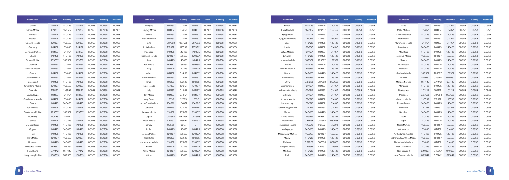| <b>Destination</b>      | Peak    | <b>Evening</b> | Weekend | Peak   | <b>Evening</b> | Weekend | <b>Destination</b>   | Peak    | Evening | Weekend | Peak   | <b>Evening</b> | Weekend |
|-------------------------|---------|----------------|---------|--------|----------------|---------|----------------------|---------|---------|---------|--------|----------------|---------|
| Gabon                   | 1.40425 | 1.40425        | 1.40425 | 0.0958 | 0.0958         | 0.0958  | Hungary              | 0.14167 | 0.14167 | 0.14167 | 0.0958 | 0.0958         | 0.0958  |
| Gabon Mobile            | 1.69367 | 1.69367        | 1.69367 | 0.0958 | 0.0958         | 0.0958  | Hungary Mobile       | 0.14167 | 0.14167 | 0.14167 | 0.0958 | 0.0958         | 0.0958  |
| Gambia                  | 1.40425 | 1.40425        | 1.40425 | 0.0958 | 0.0958         | 0.0958  | Iceland              | 0.14167 | 0.14167 | 0.14167 | 0.0958 | 0.0958         | 0.0958  |
| Georgia                 | 1.40425 | 1.40425        | 1.40425 | 0.0958 | 0.0958         | 0.0958  | Iceland Mobile       | 0.14167 | 0.14167 | 0.14167 | 0.0958 | 0.0958         | 0.0958  |
| Georgia Mobile          | 1.69367 | 1.69367        | 1.69367 | 0.0958 | 0.0958         | 0.0958  | India                | 0.87658 | 0.87658 | 0.87658 | 0.0958 | 0.0958         | 0.0958  |
| Germany                 | 0.14167 | 0.14167        | 0.14167 | 0.0958 | 0.0958         | 0.0958  | India Mobile         | 1.16592 | 1.16592 | 1.16592 | 0.0958 | 0.0958         | 0.0958  |
| Germany Mobile          | 0.14167 | 0.14167        | 0.14167 | 0.0958 | 0.0958         | 0.0958  | Indonesia            | 1.40425 | 1.40425 | 1.40425 | 0.0958 | 0.0958         | 0.0958  |
| Ghana                   | 1.40425 | 1.40425        | 1.40425 | 0.0958 | 0.0958         | 0.0958  | Indonesia Mobile     | 1.69367 | 1.69367 | 1.69367 | 0.0958 | 0.0958         | 0.0958  |
| Ghana Mobile            | 1.69367 | 1.69367        | 1.69367 | 0.0958 | 0.0958         | 0.0958  | Iran                 | 1.40425 | 1.40425 | 1.40425 | 0.0958 | 0.0958         | 0.0958  |
| Gibraltar               | 0.14167 | 0.14167        | 0.14167 | 0.0958 | 0.0958         | 0.0958  | Iran Mobile          | 1.69367 | 1.69367 | 1.69367 | 0.0958 | 0.0958         | 0.0958  |
| Gibraltar Mobile        | 0.14167 | 0.14167        | 0.14167 | 0.0958 | 0.0958         | 0.0958  | Iraq                 | 1.40425 | 1.40425 | 1.40425 | 0.0958 | 0.0958         | 0.0958  |
| Greece                  | 0.14167 | 0.14167        | 0.14167 | 0.0958 | 0.0958         | 0.0958  | Ireland              | 0.14167 | 0.14167 | 0.14167 | 0.0958 | 0.0958         | 0.0958  |
| Greece Mobile           | 0.14167 | 0.14167        | 0.14167 | 0.0958 | 0.0958         | 0.0958  | Ireland Mobile       | 0.14167 | 0.14167 | 0.14167 | 0.0958 | 0.0958         | 0.0958  |
| Greenland               | 1.40425 | 1.40425        | 1.40425 | 0.0958 | 0.0958         | 0.0958  | Israel               | 1.02125 | 1.02125 | 1.02125 | 0.0958 | 0.0958         | 0.0958  |
| <b>Greenland Mobile</b> | 1.69367 | 1.69367        | 1.69367 | 0.0958 | 0.0958         | 0.0958  | <b>Israel Mobile</b> | 1.31067 | 1.31067 | 1.31067 | 0.0958 | 0.0958         | 0.0958  |
| Grenada                 | 1.16592 | 1.16592        | 1.16592 | 0.0958 | 0.0958         | 0.0958  | Italy                | 0.14167 | 0.14167 | 0.14167 | 0.0958 | 0.0958         | 0.0958  |
| Guadeloupe              | 0.14167 | 0.14167        | 0.14167 | 0.0958 | 0.0958         | 0.0958  | Italy Mobile         | 0.14167 | 0.14167 | 0.14167 | 0.0958 | 0.0958         | 0.0958  |
| Guadeloupe Mobile       | 0.14167 | 0.14167        | 0.14167 | 0.0958 | 0.0958         | 0.0958  | Ivory Coast          | 1.2595  | 1.2595  | 1.2595  | 0.0958 | 0.0958         | 0.0958  |
| Guam                    | 1.40425 | 1.40425        | 1.40425 | 0.0958 | 0.0958         | 0.0958  | Ivory Coast Mobile   | 1.54892 | 1.54892 | 1.54892 | 0.0958 | 0.0958         | 0.0958  |
| Guatemala               | 1.40425 | 1.40425        | 1.40425 | 0.0958 | 0.0958         | 0.0958  | Jamaica              | 1.02125 | 1.02125 | 1.02125 | 0.0958 | 0.0958         | 0.0958  |
| Guatemala Mobile        | 1.69367 | 1.69367        | 1.69367 | 0.0958 | 0.0958         | 0.0958  | Jamaica Mobile       | 1.31067 | 1.31067 | 1.31067 | 0.0958 | 0.0958         | 0.0958  |
| Guernsey                | 0.0583  | 0.013          | $\circ$ | 0.0958 | 0.0958         | 0.0958  | Japan                | 0.87658 | 0.87658 | 0.87658 | 0.0958 | 0.0958         | 0.0958  |
| Guinea                  | 1.40425 | 1.40425        | 1.40425 | 0.0958 | 0.0958         | 0.0958  | Japan Mobile         | 1.16592 | 1.16592 | 1.16592 | 0.0958 | 0.0958         | 0.0958  |
| Guinea Bissau           | 1.40425 | 1.40425        | 1.40425 | 0.0958 | 0.0958         | 0.0958  | Jersey               | 0.0583  | 0.0131  | 0       | 0.0958 | 0.0958         | 0.0958  |
| Guyana                  | 1.40425 | 1.40425        | 1.40425 | 0.0958 | 0.0958         | 0.0958  | Jordan               | 1.40425 | 1.40425 | 1.40425 | 0.0958 | 0.0958         | 0.0958  |
| Haiti                   | 1.40425 | 1.40425        | 1.40425 | 0.0958 | 0.0958         | 0.0958  | Jordan Mobile        | 1.69367 | 1.69367 | 1.69367 | 0.0958 | 0.0958         | 0.0958  |
| Haiti Mobile            | 1.69367 | 1.69367        | 1.69367 | 0.0958 | 0.0958         | 0.0958  | Kazakhstan           | 1.02125 | 1.02125 | 1.02125 | 0.0958 | 0.0958         | 0.0958  |
| Honduras                | 1.40425 | 1.40425        | 1.40425 | 0.0958 | 0.0958         | 0.0958  | Kazakhstan Mobile    | 1.31067 | 1.31067 | 1.31067 | 0.0958 | 0.0958         | 0.0958  |
| Honduras Mobile         | 1.69367 | 1.69367        | 1.69367 | 0.0958 | 0.0958         | 0.0958  | Kenya                | 1.40425 | 1.40425 | 1.40425 | 0.0958 | 0.0958         | 0.0958  |
| Hong Kong               | 0.77442 | 0.77442        | 0.77442 | 0.0958 | 0.0958         | 0.0958  | Kenya Mobile         | 1.69367 | 1.69367 | 1.69367 | 0.0958 | 0.0958         | 0.0958  |
| Hong Kong Mobile        | 1.06383 | 1.06383        | 1.06383 | 0.0958 | 0.0958         | 0.0958  | Kiribati             | 1.40425 | 1.40425 | 1.40425 | 0.0958 | 0.0958         | 0.0958  |

| <b>Destination</b>   | Peak    | Evening | Weekend | Peak   | <b>Evening</b> | Weekend | <b>Destination</b>          | Peak    | <b>Evening</b> | Weekend | Peak   | <b>Evening</b> | Weekend |
|----------------------|---------|---------|---------|--------|----------------|---------|-----------------------------|---------|----------------|---------|--------|----------------|---------|
| Kuwait               | 1.40425 | 1.40425 | 1.40425 | 0.0958 | 0.0958         | 0.0958  | Malta                       | 0.14167 | 0.14167        | 0.14167 | 0.0958 | 0.0958         | 0.0958  |
| Kuwait Mobile        | 1.69367 | 1.69367 | 1.69367 | 0.0958 | 0.0958         | 0.0958  | Malta Mobile                | 0.14167 | 0.14167        | 0.14167 | 0.0958 | 0.0958         | 0.0958  |
| Kyrgyzstan           | 1.02125 | 1.02125 | 1.02125 | 0.0958 | 0.0958         | 0.0958  | Marshall Islands            | 1.40425 | 1.40425        | 1.40425 | 0.0958 | 0.0958         | 0.0958  |
| Kyrgyzstan Mobile    | 1.31067 | 1.31067 | 1.31067 | 0.0958 | 0.0958         | 0.0958  | Martinique                  | 0.14167 | 0.14167        | 0.14167 | 0.0958 | 0.0958         | 0.0958  |
| Laos                 | 1.40425 | 1.40425 | 1.40425 | 0.0958 | 0.0958         | 0.0958  | Martinique Mobile           | 0.14167 | 0.14167        | 0.14167 | 0.0958 | 0.0958         | 0.0958  |
| Latvia               | 0.14167 | 0.14167 | 0.14167 | 0.0958 | 0.0958         | 0.0958  | Mauritania                  | 1.40425 | 1.40425        | 1.40425 | 0.0958 | 0.0958         | 0.0958  |
| Latvia Mobile        | 0.14167 | 0.14167 | 0.14167 | 0.0958 | 0.0958         | 0.0958  | Mauritius                   | 1.40425 | 1.40425        | 1.40425 | 0.0958 | 0.0958         | 0.0958  |
| Lebanon              | 1.40425 | 1.40425 | 1.40425 | 0.0958 | 0.0958         | 0.0958  | Mauritius Mobile            | 1.69367 | 1.69367        | 1.69367 | 0.0958 | 0.0958         | 0.0958  |
| Lebanon Mobile       | 1.69367 | 1.69367 | 1.69367 | 0.0958 | 0.0958         | 0.0958  | Mexico                      | 1.40425 | 1.40425        | 1.40425 | 0.0958 | 0.0958         | 0.0958  |
| Lesotho              | 1.40425 | 1.40425 | 1.40425 | 0.0958 | 0.0958         | 0.0958  | Micronesia                  | 1.40425 | 1.40425        | 1.40425 | 0.0958 | 0.0958         | 0.0958  |
| Lesotho Mobile       | 1.69367 | 1.69367 | 1.69367 | 0.0958 | 0.0958         | 0.0958  | Moldova                     | 1.40425 | 1.40425        | 1.40425 | 0.0958 | 0.0958         | 0.0958  |
| Liberia              | 1.40425 | 1.40425 | 1.40425 | 0.0958 | 0.0958         | 0.0958  | Moldova Mobile              | 1.69367 | 1.69367        | 1.69367 | 0.0958 | 0.0958         | 0.0958  |
| Liberia Mobile       | 1.69367 | 1.69367 | 1.69367 | 0.0958 | 0.0958         | 0.0958  | Monaco                      | 0.49367 | 0.49367        | 0.49367 | 0.0958 | 0.0958         | 0.0958  |
| Libya                | 0.87658 | 0.87658 | 0.87658 | 0.0958 | 0.0958         | 0.0958  | Monaco Mobile               | 0.77442 | 0.77442        | 0.77442 | 0.0958 | 0.0958         | 0.0958  |
| Liechtenstein        | 0.14167 | 0.14167 | 0.14167 | 0.0958 | 0.0958         | 0.0958  | Mongolia                    | 1.40425 | 1.40425        | 1.40425 | 0.0958 | 0.0958         | 0.0958  |
| Liechtenstein Mobile | 0.14167 | 0.14167 | 0.14167 | 0.0958 | 0.0958         | 0.0958  | Montserrat                  | 1.02125 | 1.02125        | 1.02125 | 0.0958 | 0.0958         | 0.0958  |
| Lithuania            | 0.14167 | 0.14167 | 0.14167 | 0.0958 | 0.0958         | 0.0958  | Morocco                     | 0.87658 | 0.87658        | 0.87658 | 0.0958 | 0.0958         | 0.0958  |
| Lithuania Mobile     | 0.14167 | 0.14167 | 0.14167 | 0.0958 | 0.0958         | 0.0958  | Morocco Mobile              | 1.16592 | 1.16592        | 1.16592 | 0.0958 | 0.0958         | 0.0958  |
| Luxembourg           | 0.14167 | 0.14167 | 0.14167 | 0.0958 | 0.0958         | 0.0958  | Mozambique                  | 1.40425 | 1.40425        | 1.40425 | 0.0958 | 0.0958         | 0.0958  |
| Luxembourg Mobile    | 0.14167 | 0.14167 | 0.14167 | 0.0958 | 0.0958         | 0.0958  | Myanmar                     | 1.93192 | 1.93192        | 1.93192 | 0.0958 | 0.0958         | 0.0958  |
| Macau                | 1.40425 | 1.40425 | 1.40425 | 0.0958 | 0.0958         | 0.0958  | Namibia                     | 1.40425 | 1.40425        | 1.40425 | 0.0958 | 0.0958         | 0.0958  |
| Macau Mobile         | 1.69367 | 1.69367 | 1.69367 | 0.0958 | 0.0958         | 0.0958  | Nauru                       | 1.40425 | 1.40425        | 1.40425 | 0.0958 | 0.0958         | 0.0958  |
| Macedonia            | 0.87658 | 0.87658 | 0.87658 | 0.0958 | 0.0958         | 0.0958  | Nepal                       | 1.40425 | 1.40425        | 1.40425 | 0.0958 | 0.0958         | 0.0958  |
| Macedonia Mobile     | 1.16592 | 1.16592 | 1.16592 | 0.0958 | 0.0958         | 0.0958  | Nepal Mobile                | 1.69367 | 1.69367        | 1.69367 | 0.0958 | 0.0958         | 0.0958  |
| Madagascar           | 1.40425 | 1.40425 | 1.40425 | 0.0958 | 0.0958         | 0.0958  | Netherlands                 | 0.14167 | 0.14167        | 0.14167 | 0.0958 | 0.0958         | 0.0958  |
| Madagascar Mobile    | 1.69367 | 1.69367 | 1.69367 | 0.0958 | 0.0958         | 0.0958  | Netherlands Antilles        | 1.40425 | 1.40425        | 1.40425 | 0.0958 | 0.0958         | 0.0958  |
| Malawi               | 1.40425 | 1.40425 | 1.40425 | 0.0958 | 0.0958         | 0.0958  | Netherlands Antilles Mobile | 1.69367 | 1.69367        | 1.69367 | 0.0958 | 0.0958         | 0.0958  |
| Malaysia             | 0.87658 | 0.87658 | 0.87658 | 0.0958 | 0.0958         | 0.0958  | Netherlands Mobile          | 0.14167 | 0.14167        | 0.14167 | 0.0958 | 0.0958         | 0.0958  |
| Malaysia Mobile      | 1.16592 | 1.16592 | 1.16592 | 0.0958 | 0.0958         | 0.0958  | New Caledonia               | 1.40425 | 1.40425        | 1.40425 | 0.0958 | 0.0958         | 0.0958  |
| Maldives             | 1.40425 | 1.40425 | 1.40425 | 0.0958 | 0.0958         | 0.0958  | New Zealand                 | 0.49367 | 0.49367        | 0.49367 | 0.0958 | 0.0958         | 0.0958  |
| Mali                 | 1.40425 | 1.40425 | 1.40425 | 0.0958 | 0.0958         | 0.0958  | New Zealand Mobile          | 0.77442 | 0.77442        | 0.77442 | 0.0958 | 0.0958         | 0.0958  |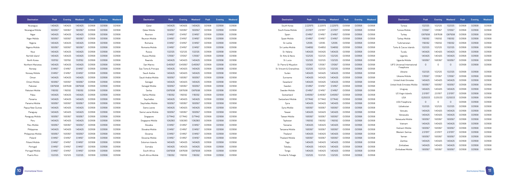| <b>Destination</b> | Peak    | <b>Evening</b> | Weekend | Peak   | Evening | Weekend | <b>Destination</b>  | Peak    | <b>Evening</b> | Weekend | Peak   | <b>Evening</b> | Weekend |
|--------------------|---------|----------------|---------|--------|---------|---------|---------------------|---------|----------------|---------|--------|----------------|---------|
| Nicaragua          | 1.40425 | 1.40425        | 1.40425 | 0.0958 | 0.0958  | 0.0958  | Qatar               | 1.40425 | 1.40425        | 1.40425 | 0.0958 | 0.0958         | 0.0958  |
| Nicaragua Mobile   | 1.69367 | 1.69367        | 1.69367 | 0.0958 | 0.0958  | 0.0958  | Qatar Mobile        | 1.69367 | 1.69367        | 1.69367 | 0.0958 | 0.0958         | 0.0958  |
| Niger              | 1.40425 | 1.40425        | 1.40425 | 0.0958 | 0.0958  | 0.0958  | Reunion             | 0.14167 | 0.14167        | 0.14167 | 0.0958 | 0.0958         | 0.0958  |
| Niger Mobile       | 1.69367 | 1.69367        | 1.69367 | 0.0958 | 0.0958  | 0.0958  | Reunion Mobile      | 0.14167 | 0.14167        | 0.14167 | 0.0958 | 0.0958         | 0.0958  |
| Nigeria            | 1.40425 | 1.40425        | 1.40425 | 0.0958 | 0.0958  | 0.0958  | Romania             | 0.14167 | 0.14167        | 0.14167 | 0.0958 | 0.0958         | 0.0958  |
| Nigeria Mobile     | 1.69367 | 1.69367        | 1.69367 | 0.0958 | 0.0958  | 0.0958  | Romania Mobile      | 0.14167 | 0.14167        | 0.14167 | 0.0958 | 0.0958         | 0.0958  |
| Niue               | 1.40425 | 1.40425        | 1.40425 | 0.0958 | 0.0958  | 0.0958  | Russia              | 1.02125 | 1.02125        | 1.02125 | 0.0958 | 0.0958         | 0.0958  |
| Norfolk Island     | 1.40425 | 1.40425        | 1.40425 | 0.0958 | 0.0958  | 0.0958  | Russia Mobile       | 1.31067 | 1.31067        | 1.31067 | 0.0958 | 0.0958         | 0.0958  |
| North Korea        | 1.93192 | 1.93192        | 1.93192 | 0.0958 | 0.0958  | 0.0958  | Rwanda              | 1.40425 | 1.40425        | 1.40425 | 0.0958 | 0.0958         | 0.0958  |
| Northern Marianas  | 1.40425 | 1.40425        | 1.40425 | 0.0958 | 0.0958  | 0.0958  | San Marino          | 0.49367 | 0.49367        | 0.49367 | 0.0958 | 0.0958         | 0.0958  |
| Norway             | 0.14167 | 0.14167        | 0.14167 | 0.0958 | 0.0958  | 0.0958  | Sao Tome & Principe | 1.40425 | 1.40425        | 1.40425 | 0.0958 | 0.0958         | 0.0958  |
| Norway Mobile      | 0.14167 | 0.14167        | 0.14167 | 0.0958 | 0.0958  | 0.0958  | Saudi Arabia        | 1.40425 | 1.40425        | 1.40425 | 0.0958 | 0.0958         | 0.0958  |
| Oman               | 1.40425 | 1.40425        | 1.40425 | 0.0958 | 0.0958  | 0.0958  | Saudi Arabia Mobile | 1.69367 | 1.69367        | 1.69367 | 0.0958 | 0.0958         | 0.0958  |
| Oman Mobile        | 1.69367 | 1.69367        | 1.69367 | 0.0958 | 0.0958  | 0.0958  | Senegal             | 1.40425 | 1.40425        | 1.40425 | 0.0958 | 0.0958         | 0.0958  |
| Pakistan           | 0.87658 | 0.87658        | 0.87658 | 0.0958 | 0.0958  | 0.0958  | Senegal Mobile      | 1.69367 | 1.69367        | 1.69367 | 0.0958 | 0.0958         | 0.0958  |
| Pakistan Mobile    | 1.16592 | 1.16592        | 1.16592 | 0.0958 | 0.0958  | 0.0958  | Serbia              | 0.87658 | 0.87658        | 0.87658 | 0.0958 | 0.0958         | 0.0958  |
| Palau              | 1.40425 | 1.40425        | 1.40425 | 0.0958 | 0.0958  | 0.0958  | Serbia Mobile       | 1.16592 | 1.16592        | 1.16592 | 0.0958 | 0.0958         | 0.0958  |
| Panama             | 1.40425 | 1.40425        | 1.40425 | 0.0958 | 0.0958  | 0.0958  | Seychelles          | 1.40425 | 1.40425        | 1.40425 | 0.0958 | 0.0958         | 0.0958  |
| Panama Mobile      | 1.69367 | 1.69367        | 1.69367 | 0.0958 | 0.0958  | 0.0958  | Seychelles Mobile   | 1.69367 | 1.69367        | 1.69367 | 0.0958 | 0.0958         | 0.0958  |
| Papua New Guinea   | 1.40425 | 1.40425        | 1.40425 | 0.0958 | 0.0958  | 0.0958  | Sierra Leone        | 1.40425 | 1.40425        | 1.40425 | 0.0958 | 0.0958         | 0.0958  |
| Paraguay           | 1.40425 | 1.40425        | 1.40425 | 0.0958 | 0.0958  | 0.0958  | Sierra Leone Mobile | 1.69367 | 1.69367        | 1.69367 | 0.0958 | 0.0958         | 0.0958  |
| Paraguay Mobile    | 1.69367 | 1.69367        | 1.69367 | 0.0958 | 0.0958  | 0.0958  | Singapore           | 0.77442 | 0.77442        | 0.77442 | 0.0958 | 0.0958         | 0.0958  |
| Peru               | 1.40425 | 1.40425        | 1.40425 | 0.0958 | 0.0958  | 0.0958  | Singapore Mobile    | 1.06383 | 1.06383        | 1.06383 | 0.0958 | 0.0958         | 0.0958  |
| Peru Mobile        | 1.69367 | 1.69367        | 1.69367 | 0.0958 | 0.0958  | 0.0958  | Slovakia            | 0.14167 | 0.14167        | 0.14167 | 0.0958 | 0.0958         | 0.0958  |
| Philippines        | 1.40425 | 1.40425        | 1.40425 | 0.0958 | 0.0958  | 0.0958  | Slovakia Mobile     | 0.14167 | 0.14167        | 0.14167 | 0.0958 | 0.0958         | 0.0958  |
| Philippines Mobile | 1.69367 | 1.69367        | 1.69367 | 0.0958 | 0.0958  | 0.0958  | Slovenia            | 0.14167 | 0.14167        | 0.14167 | 0.0958 | 0.0958         | 0.0958  |
| Poland             | 0.14167 | 0.14167        | 0.14167 | 0.0958 | 0.0958  | 0.0958  | Slovenia Mobile     | 0.14167 | 0.14167        | 0.14167 | 0.0958 | 0.0958         | 0.0958  |
| Poland Mobile      | 0.14167 | 0.14167        | 0.14167 | 0.0958 | 0.0958  | 0.0958  | Solomon Islands     | 1.40425 | 1.40425        | 1.40425 | 0.0958 | 0.0958         | 0.0958  |
| Portugal           | 0.14167 | 0.14167        | 0.14167 | 0.0958 | 0.0958  | 0.0958  | Somalia             | 1.40425 | 1.40425        | 1.40425 | 0.0958 | 0.0958         | 0.0958  |
| Portugal Mobile    | 0.14167 | 0.14167        | 0.14167 | 0.0958 | 0.0958  | 0.0958  | South Africa        | 0.87658 | 0.87658        | 0.87658 | 0.0958 | 0.0958         | 0.0958  |
| Puerto Rico        | 1.02125 | 1.02125        | 1.02125 | 0.0958 | 0.0958  | 0.0958  | South Africa Mobile | 1.16592 | 1.16592        | 1.16592 | 0.0958 | 0.0958         | 0.0958  |

| <b>Destination</b>       | Peak    | <b>Evening</b> | Weekend | Peak   | <b>Evening</b> | Weekend | <b>Destination</b>           | Peak    | <b>Evening</b> | Weekend      | Peak   | <b>Evening</b> | Weekend |
|--------------------------|---------|----------------|---------|--------|----------------|---------|------------------------------|---------|----------------|--------------|--------|----------------|---------|
| South Korea              | 2.22975 | 2.22975        | 2.22975 | 0.0958 | 0.0958         | 0.0958  | Tunisia                      | 1.02125 | 1.02125        | 1.02125      | 0.0958 | 0.0958         | 0.0958  |
| South Korea Mobile       | 2.51917 | 2.51917        | 2.51917 | 0.0958 | 0.0958         | 0.0958  | Tunisia Mobile               | 1.31067 | 1.31067        | 1.31067      | 0.0958 | 0.0958         | 0.0958  |
| Spain                    | 0.14167 | 0.14167        | 0.14167 | 0.0958 | 0.0958         | 0.0958  | Turkey                       | 0.87658 | 0.87658        | 0.87658      | 0.0958 | 0.0958         | 0.0958  |
| Spain Mobile             | 0.14167 | 0.14167        | 0.14167 | 0.0958 | 0.0958         | 0.0958  | <b>Turkey Mobile</b>         | 1.16592 | 1.16592        | 1.16592      | 0.0958 | 0.0958         | 0.0958  |
| Sri Lanka                | 1.2595  | 1.2595         | 1.2595  | 0.0958 | 0.0958         | 0.0958  | Turkmenistan                 | 1.16592 | 1.16592        | 1.16592      | 0.0958 | 0.0958         | 0.0958  |
| Sri Lanka Mobile         | 1.54892 | 1.54892        | 1.54892 | 0.0958 | 0.0958         | 0.0958  | Turks & Caicos Islands       | 1.02125 | 1.02125        | 1.02125      | 0.0958 | 0.0958         | 0.0958  |
| St. Helena               | 1.40425 | 1.40425        | 1.40425 | 0.0958 | 0.0958         | 0.0958  | Tuvalu                       | 1.40425 | 1.40425        | 1.40425      | 0.0958 | 0.0958         | 0.0958  |
| St. Kitts & Nevis        | 1.02125 | 1.02125        | 1.02125 | 0.0958 | 0.0958         | 0.0958  | Uganda                       | 1.40425 | 1.40425        | 1.40425      | 0.0958 | 0.0958         | 0.0958  |
| St. Lucia                | 1.02125 | 1.02125        | 1.02125 | 0.0958 | 0.0958         | 0.0958  | Uganda Mobile                | 1.69367 | 1.69367        | 1.69367      | 0.0958 | 0.0958         | 0.0958  |
| St. Pierre & Miquelon    | 1.31067 | 1.31067        | 1.31067 | 0.0958 | 0.0958         | 0.0958  | UIFS Universal International | $\circ$ | $\mathsf O$    | $\circ$      | 0.0958 | 0.0958         | 0.0958  |
| St. Vincent & Grenadines | 1.02125 | 1.02125        | 1.02125 | 0.0958 | 0.0958         | 0.0958  | Freephone                    |         |                |              |        |                |         |
| Sudan                    | 1.40425 | 1.40425        | 1.40425 | 0.0958 | 0.0958         | 0.0958  | Ukraine                      | 1.02125 | 1.02125        | 1.02125      | 0.0958 | 0.0958         | 0.0958  |
| Suriname                 | 1.40425 | 1.40425        | 1.40425 | 0.0958 | 0.0958         | 0.0958  | Ukraine Mobile               | 1.31067 | 1.31067        | 1.31067      | 0.0958 | 0.0958         | 0.0958  |
| Swaziland                | 1.40425 | 1.40425        | 1.40425 | 0.0958 | 0.0958         | 0.0958  | United Arab Emirates         | 1.40425 | 1.40425        | 1.40425      | 0.0958 | 0.0958         | 0.0958  |
| Sweden                   | 0.14167 | 0.14167        | 0.14167 | 0.0958 | 0.0958         | 0.0958  | United Arab Emirates Mobile  | 1.69367 | 1.69367        | 1.69367      | 0.0958 | 0.0958         | 0.0958  |
| Sweden Mobile            | 0.14167 | 0.14167        | 0.14167 | 0.0958 | 0.0958         | 0.0958  | Uruguay                      | 1.40425 | 1.40425        | 1.40425      | 0.0958 | 0.0958         | 0.0958  |
| Switzerland              | 0.49367 | 0.49367        | 0.49367 | 0.0958 | 0.0958         | 0.0958  | US Virgin Islands            | 2.51917 | 2.51917        | 2.51917      | 0.0958 | 0.0958         | 0.0958  |
| Switzerland Mobile       | 0.77442 | 0.77442        | 0.77442 | 0.0958 | 0.0958         | 0.0958  | <b>USA</b>                   | 0.25533 | 0.25533        | 0.25533      | 0.0958 | 0.0958         | 0.0958  |
| Syria                    | 1.40425 | 1.40425        | 1.40425 | 0.0958 | 0.0958         | 0.0958  | <b>USA Freephone</b>         | $\circ$ | $\circ$        | $\mathsf{O}$ | 0.0958 | 0.0958         | 0.0958  |
| Syria Mobile             | 1.69367 | 1.69367        | 1.69367 | 0.0958 | 0.0958         | 0.0958  | Uzbekistan                   | 1.02125 | 1.02125        | 1.02125      | 0.0958 | 0.0958         | 0.0958  |
| Taiwan                   | 1.40425 | 1.40425        | 1.40425 | 0.0958 | 0.0958         | 0.0958  | Vanuatu                      | 1.40425 | 1.40425        | 1.40425      | 0.0958 | 0.0958         | 0.0958  |
| Taiwan Mobile            | 1.69367 | 1.69367        | 1.69367 | 0.0958 | 0.0958         | 0.0958  | Venezuela                    | 1.40425 | 1.40425        | 1.40425      | 0.0958 | 0.0958         | 0.0958  |
| Tajikistan               | 1.16592 | 1.16592        | 1.16592 | 0.0958 | 0.0958         | 0.0958  | Venezuela Mobile             | 1.69367 | 1.69367        | 1.69367      | 0.0958 | 0.0958         | 0.0958  |
| Tanzania                 | 1.40425 | 1.40425        | 1.40425 | 0.0958 | 0.0958         | 0.0958  | Vietnam                      | 1.40425 | 1.40425        | 1.40425      | 0.0958 | 0.0958         | 0.0958  |
| Tanzania Mobile          | 1.69367 | 1.69367        | 1.69367 | 0.0958 | 0.0958         | 0.0958  | Vietnam Mobile               | 1.69367 | 1.69367        | 1.69367      | 0.0958 | 0.0958         | 0.0958  |
| Thailand                 | 1.40425 | 1.40425        | 1.40425 | 0.0958 | 0.0958         | 0.0958  | Western Samoa                | 2.51917 | 2.51917        | 2.51917      | 0.0958 | 0.0958         | 0.0958  |
| <b>Thailand Mobile</b>   | 1.69367 | 1.69367        | 1.69367 | 0.0958 | 0.0958         | 0.0958  | Yemen                        | 1.69367 | 1.69367        | 1.69367      | 0.0958 | 0.0958         | 0.0958  |
| Togo                     | 1.40425 | 1.40425        | 1.40425 | 0.0958 | 0.0958         | 0.0958  | Zambia                       | 1.40425 | 1.40425        | 1.40425      | 0.0958 | 0.0958         | 0.0958  |
| Tokelau                  | 1.40425 | 1.40425        | 1.40425 | 0.0958 | 0.0958         | 0.0958  | Zimbabwe                     | 1.40425 | 1.40425        | 1.40425      | 0.0958 | 0.0958         | 0.0958  |
| Tonga                    | 1.40425 | 1.40425        | 1.40425 | 0.0958 | 0.0958         | 0.0958  | Zimbabwe Mobile              | 1.69367 | 1.69367        | 1.69367      | 0.0958 | 0.0958         | 0.0958  |
| Trinidad & Tobago        | 1.02125 | 1.02125        | 1.02125 | 0.0958 | 0.0958         | 0.0958  |                              |         |                |              |        |                |         |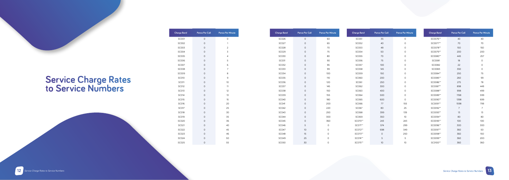| <b>Charge Band</b> | <b>Pence Per Call</b> | <b>Pence Per Minute</b> |
|--------------------|-----------------------|-------------------------|
| SC001              | 0                     | 0                       |
| SC002              | $\overline{O}$        | $\mathbf{1}$            |
| SC003              | 0                     | 2                       |
| <b>SC004</b>       | 0                     | 3                       |
| <b>SC005</b>       | 0                     | $\overline{4}$          |
| SC006              | 0                     | 5                       |
| <b>SC007</b>       | $\overline{O}$        | 6                       |
| <b>SC008</b>       | $\overline{O}$        | $\overline{7}$          |
| <b>SC009</b>       | 0                     | 8                       |
| <b>SC010</b>       | 0                     | 9                       |
| <b>SC011</b>       | 0                     | 10                      |
| SC012              | $\mathbf 0$           | 11                      |
| SC013              | 0                     | 12                      |
| <b>SC014</b>       | 0                     | 13                      |
| <b>SC015</b>       | $\overline{O}$        | 15                      |
| SC016              | $\overline{O}$        | 20                      |
| <b>SC017</b>       | $\overline{O}$        | 25                      |
| <b>SC018</b>       | 0                     | 30                      |
| <b>SC019</b>       | 0                     | 35                      |
| <b>SC020</b>       | $\overline{O}$        | 36                      |
| SC021              | $\mathbf 0$           | 40                      |
| SC022              | $\overline{O}$        | 45                      |
| SC023              | 0                     | 46                      |
| SC024              | 0                     | 50                      |
| <b>SC025</b>       | 0                     | 55                      |

| <b>Charge Band</b> | <b>Pence Per Call</b> | <b>Pence Per Minute</b> | <b>Charge Band</b> | <b>Pence Per Call</b> | <b>Pence Per Minute</b> | <b>Charge Band</b> | <b>Pence Per Call</b> | <b>Pence Per Minute</b> |
|--------------------|-----------------------|-------------------------|--------------------|-----------------------|-------------------------|--------------------|-----------------------|-------------------------|
| <b>SC026</b>       | $\circ$               | 60                      | <b>SC051</b>       | 35                    | $\mathsf O$             | SC0076**           | 40                    |                         |
| <b>SC027</b>       | $\mathsf{O}$          | 65                      | SC052              | 40                    | $\circ$                 | SC0077**           | 70                    |                         |
| <b>SC028</b>       | $\mathsf O$           | 70                      | SC053              | 48                    | $\circ$                 | SC0078**           | 150                   |                         |
| <b>SC029</b>       | $\mathsf O$           | $75\,$                  | SC054              | 50                    | $\circ$                 | SC0079**           | 200                   |                         |
| <b>SC030</b>       | $\mathsf O$           | 80                      | SC055              | 70                    | 0                       | SC0080**           | 445                   |                         |
| SC031              | $\circ$               | 90                      | <b>SC056</b>       | 75                    | $\circ$                 | SC0081             | 18                    |                         |
| <b>SC032</b>       | $\mathsf O$           | 95                      | SC057              | 100                   | $\circ$                 | SC0082             | 22                    |                         |
| <b>SC033</b>       | $\circ$               | 99                      | <b>SC058</b>       | 145                   | 0                       | SC0083             | 350                   |                         |
| <b>SC034</b>       | $\circ$               | 100                     | <b>SC059</b>       | 150                   | $\circ$                 | SC0084**           | 250                   |                         |
| <b>SC035</b>       | $\mathsf O$           | 110                     | SC060              | 200                   | $\circ$                 | SC0085**           | 260                   |                         |
| <b>SC036</b>       | $\mathsf O$           | 120                     | <b>SC061</b>       | 250                   | $\circ$                 | SC0086**           | 275                   |                         |
| <b>SC037</b>       | $\circ$               | 145                     | SC062              | 300                   | 0                       | SC0087**           | 898                   |                         |
| <b>SC038</b>       | $\circ$               | 150                     | SC063              | 400                   | 0                       | SC0088**           | 998                   |                         |
| <b>SC039</b>       | $\mathsf O$           | 155                     | <b>SC064</b>       | 500                   | $\circ$                 | SC0089**           | 1198                  |                         |
| <b>SC040</b>       | $\mathsf O$           | 180                     | <b>SC065</b>       | 600                   | $\circ$                 | SC0090**           | 1398                  |                         |
| <b>SC041</b>       | $\mathsf O$           | 200                     | SC066              | 77                    | 155                     | SC0091**           | 1598                  |                         |
| <b>SC042</b>       | $\circ$               | 220                     | <b>SC067</b>       | 80                    | 25                      | SC0092**           | $\overline{7}$        |                         |
| <b>SC043</b>       | $\circ$               | 250                     | <b>SC068</b>       | 399                   | 139                     | SC0093**           | 13                    |                         |
| <b>SC044</b>       | $\circ$               | 300                     | <b>SC069</b>       | 350                   | 10                      | SC0094**           | 80                    |                         |
| <b>SC045</b>       | $\mathsf O$           | 360                     | SC070**            | 243                   | 243                     | SC0095**           | 100                   |                         |
| <b>SC046</b>       | 5                     | 0                       | SC071**            | 574                   | 299                     | SC0096**           | 300                   |                         |
| <b>SC047</b>       | 10                    | $\mathsf O$             | SC072**            | 698                   | 349                     | SC0097**           | 360                   |                         |
| <b>SC048</b>       | 15                    | $\mathsf O$             | SC073**            | $\circ$               | 250                     | SC0098**           | 360                   |                         |
| <b>SC049</b>       | 25                    | $\mathsf O$             | SC074**            | 5                     | 5                       | SC0099**           | 360                   |                         |
| <b>SC050</b>       | 30                    | $\mathsf{O}$            | SC075**            | 10                    | 10                      | SC0100**           | 360                   |                         |

#### **Service Charge Rates to Service Numbers**